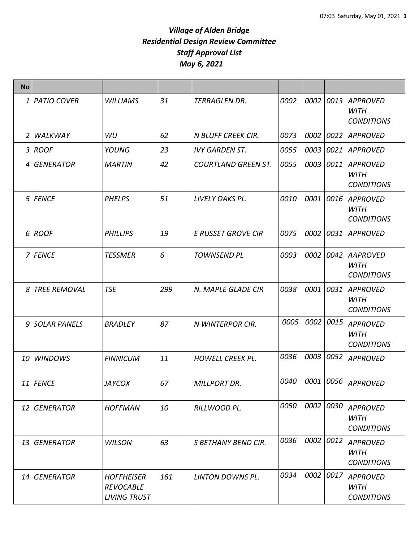| <b>No</b>       |                 |                                                              |     |                            |      |           |      |                                                     |
|-----------------|-----------------|--------------------------------------------------------------|-----|----------------------------|------|-----------|------|-----------------------------------------------------|
|                 | 1   PATIO COVER | <b>WILLIAMS</b>                                              | 31  | <b>TERRAGLEN DR.</b>       | 0002 | 0002 0013 |      | <b>APPROVED</b><br><b>WITH</b><br><b>CONDITIONS</b> |
| 2               | WALKWAY         | WU                                                           | 62  | <b>N BLUFF CREEK CIR.</b>  | 0073 | 0002      | 0022 | <b>APPROVED</b>                                     |
|                 | 3 ROOF          | YOUNG                                                        | 23  | <b>IVY GARDEN ST.</b>      | 0055 | 0003      | 0021 | <b>APPROVED</b>                                     |
|                 | 4 GENERATOR     | <b>MARTIN</b>                                                | 42  | <b>COURTLAND GREEN ST.</b> | 0055 | 0003      | 0011 | <b>APPROVED</b><br><b>WITH</b><br><b>CONDITIONS</b> |
|                 | 5 FENCE         | <b>PHELPS</b>                                                | 51  | LIVELY OAKS PL.            | 0010 | 0001 0016 |      | <b>APPROVED</b><br><b>WITH</b><br><b>CONDITIONS</b> |
|                 | 6 ROOF          | <b>PHILLIPS</b>                                              | 19  | <b>E RUSSET GROVE CIR</b>  | 0075 | 0002 0031 |      | <b>APPROVED</b>                                     |
|                 | 7 FENCE         | <b>TESSMER</b>                                               | 6   | <b>TOWNSEND PL</b>         | 0003 | 0002      | 0042 | <b>AAPROVED</b><br><b>WITH</b><br><b>CONDITIONS</b> |
|                 | 8 TREE REMOVAL  | <b>TSE</b>                                                   | 299 | N. MAPLE GLADE CIR         | 0038 | 0001      | 0031 | <b>APPROVED</b><br><b>WITH</b><br><b>CONDITIONS</b> |
|                 | 9 SOLAR PANELS  | <b>BRADLEY</b>                                               | 87  | N WINTERPOR CIR.           | 0005 | 0002      | 0015 | <b>APPROVED</b><br><b>WITH</b><br><b>CONDITIONS</b> |
| 10 <sup>1</sup> | <b>WINDOWS</b>  | <b>FINNICUM</b>                                              | 11  | <b>HOWELL CREEK PL.</b>    | 0036 | 0003 0052 |      | <b>APPROVED</b>                                     |
|                 | 11   FENCE      | <b>JAYCOX</b>                                                | 67  | <b>MILLPORT DR.</b>        | 0040 | 0001 0056 |      | <b>APPROVED</b>                                     |
|                 | 12 GENERATOR    | <b>HOFFMAN</b>                                               | 10  | RILLWOOD PL.               | 0050 | 0002 0030 |      | <b>APPROVED</b><br><b>WITH</b><br><b>CONDITIONS</b> |
|                 | 13 GENERATOR    | <b>WILSON</b>                                                | 63  | S BETHANY BEND CIR.        | 0036 | 0002      | 0012 | <b>APPROVED</b><br><b>WITH</b><br><b>CONDITIONS</b> |
|                 | 14 GENERATOR    | <b>HOFFHEISER</b><br><b>REVOCABLE</b><br><b>LIVING TRUST</b> | 161 | <b>LINTON DOWNS PL.</b>    | 0034 | 0002 0017 |      | <b>APPROVED</b><br><b>WITH</b><br><b>CONDITIONS</b> |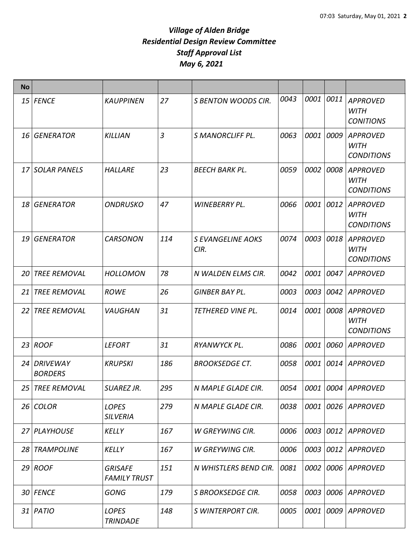| <b>No</b> |                               |                                       |     |                                  |      |      |      |                                                     |
|-----------|-------------------------------|---------------------------------------|-----|----------------------------------|------|------|------|-----------------------------------------------------|
|           | 15 FENCE                      | <b>KAUPPINEN</b>                      | 27  | <b>S BENTON WOODS CIR.</b>       | 0043 | 0001 | 0011 | <b>APPROVED</b><br><b>WITH</b><br><b>CONITIONS</b>  |
|           | 16 GENERATOR                  | <b>KILLIAN</b>                        | 3   | <b>S MANORCLIFF PL.</b>          | 0063 | 0001 | 0009 | <b>APPROVED</b><br>WITH<br><b>CONDITIONS</b>        |
|           | 17 SOLAR PANELS               | <b>HALLARE</b>                        | 23  | <b>BEECH BARK PL.</b>            | 0059 | 0002 | 0008 | <b>APPROVED</b><br><b>WITH</b><br><b>CONDITIONS</b> |
|           | 18 GENERATOR                  | <b>ONDRUSKO</b>                       | 47  | WINEBERRY PL.                    | 0066 | 0001 | 0012 | <b>APPROVED</b><br>WITH<br><b>CONDITIONS</b>        |
|           | 19 GENERATOR                  | <b>CARSONON</b>                       | 114 | <b>S EVANGELINE AOKS</b><br>CIR. | 0074 | 0003 | 0018 | <b>APPROVED</b><br><b>WITH</b><br><b>CONDITIONS</b> |
| 20        | <b>TREE REMOVAL</b>           | <b>HOLLOMON</b>                       | 78  | N WALDEN ELMS CIR.               | 0042 | 0001 | 0047 | <b>APPROVED</b>                                     |
| 21 I      | <b>TREE REMOVAL</b>           | <b>ROWE</b>                           | 26  | GINBER BAY PL.                   | 0003 | 0003 | 0042 | <b>APPROVED</b>                                     |
| 22 I      | <b>TREE REMOVAL</b>           | <b>VAUGHAN</b>                        | 31  | <b>TETHERED VINE PL.</b>         | 0014 | 0001 | 0008 | <b>APPROVED</b><br><b>WITH</b><br><b>CONDITIONS</b> |
|           | $23$ ROOF                     | <i><b>LEFORT</b></i>                  | 31  | RYANWYCK PL.                     | 0086 | 0001 | 0060 | <b>APPROVED</b>                                     |
|           | 24 DRIVEWAY<br><b>BORDERS</b> | <b>KRUPSKI</b>                        | 186 | <b>BROOKSEDGE CT.</b>            | 0058 | 0001 | 0014 | <b>APPROVED</b>                                     |
| 25        | <b>TREE REMOVAL</b>           | SUAREZ JR.                            | 295 | N MAPLE GLADE CIR.               | 0054 |      |      | 0001 0004 APPROVED                                  |
|           | $26$ COLOR                    | <b>LOPES</b><br><b>SILVERIA</b>       | 279 | N MAPLE GLADE CIR.               | 0038 | 0001 | 0026 | <b>APPROVED</b>                                     |
|           | 27 PLAYHOUSE                  | <b>KELLY</b>                          | 167 | <b>W GREYWING CIR.</b>           | 0006 | 0003 | 0012 | APPROVED                                            |
|           | 28 TRAMPOLINE                 | KELLY                                 | 167 | W GREYWING CIR.                  | 0006 | 0003 | 0012 | APPROVED                                            |
|           | $29$ ROOF                     | <b>GRISAFE</b><br><b>FAMILY TRUST</b> | 151 | N WHISTLERS BEND CIR.            | 0081 | 0002 | 0006 | <b>APPROVED</b>                                     |
|           | 30 FENCE                      | <b>GONG</b>                           | 179 | <b>S BROOKSEDGE CIR.</b>         | 0058 | 0003 | 0006 | <b>APPROVED</b>                                     |
|           | $31$ PATIO                    | <b>LOPES</b><br><b>TRINDADE</b>       | 148 | S WINTERPORT CIR.                | 0005 | 0001 | 0009 | <b>APPROVED</b>                                     |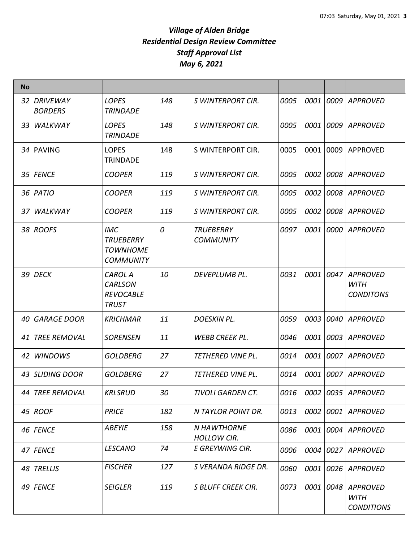| <b>No</b> |                               |                                                                       |     |                                          |      |             |      |                                                     |
|-----------|-------------------------------|-----------------------------------------------------------------------|-----|------------------------------------------|------|-------------|------|-----------------------------------------------------|
|           | 32 DRIVEWAY<br><b>BORDERS</b> | <b>LOPES</b><br><b>TRINDADE</b>                                       | 148 | S WINTERPORT CIR.                        | 0005 | 0001        | 0009 | <b>APPROVED</b>                                     |
|           | 33 WALKWAY                    | <b>LOPES</b><br><b>TRINDADE</b>                                       | 148 | S WINTERPORT CIR.                        | 0005 | <i>0001</i> | 0009 | <b>APPROVED</b>                                     |
|           | 34 PAVING                     | <b>LOPES</b><br><b>TRINDADE</b>                                       | 148 | S WINTERPORT CIR.                        | 0005 | 0001        | 0009 | <b>APPROVED</b>                                     |
|           | 35   FENCE                    | <b>COOPER</b>                                                         | 119 | S WINTERPORT CIR.                        | 0005 | 0002        | 0008 | APPROVED                                            |
|           | 36   PATIO                    | <b>COOPER</b>                                                         | 119 | S WINTERPORT CIR.                        | 0005 | 0002        | 0008 | APPROVED                                            |
|           | 37 WALKWAY                    | <b>COOPER</b>                                                         | 119 | S WINTERPORT CIR.                        | 0005 | 0002        | 0008 | <b>APPROVED</b>                                     |
|           | 38 ROOFS                      | <i>IMC</i><br><b>TRUEBERRY</b><br><b>TOWNHOME</b><br><b>COMMUNITY</b> | 0   | <b>TRUEBERRY</b><br><b>COMMUNITY</b>     | 0097 | 0001        | 0000 | APPROVED                                            |
|           | 39 DECK                       | <b>CAROL A</b><br><b>CARLSON</b><br><b>REVOCABLE</b><br><b>TRUST</b>  | 10  | DEVEPLUMB PL.                            | 0031 | 0001        | 0047 | <b>APPROVED</b><br><b>WITH</b><br><b>CONDITONS</b>  |
|           | 40 GARAGE DOOR                | <b>KRICHMAR</b>                                                       | 11  | <b>DOESKIN PL.</b>                       | 0059 | 0003        | 0040 | <b>APPROVED</b>                                     |
| 41 I      | <b>TREE REMOVAL</b>           | <b>SORENSEN</b>                                                       | 11  | <b>WEBB CREEK PL.</b>                    | 0046 | 0001        | 0003 | <b>APPROVED</b>                                     |
| 42        | <b>WINDOWS</b>                | GOLDBERG                                                              | 27  | <b>TETHERED VINE PL.</b>                 | 0014 | 0001        | 0007 | <b>APPROVED</b>                                     |
|           | 43 SLIDING DOOR               | <b>GOLDBERG</b>                                                       | 27  | <b>TETHERED VINE PL.</b>                 | 0014 | 0001        | 0007 | <b>APPROVED</b>                                     |
|           | 44 TREE REMOVAL               | <b>KRLSRUD</b>                                                        | 30  | TIVOLI GARDEN CT.                        | 0016 | 0002        | 0035 | <b>APPROVED</b>                                     |
|           | $45$ ROOF                     | <b>PRICE</b>                                                          | 182 | N TAYLOR POINT DR.                       | 0013 | 0002        | 0001 | <b>APPROVED</b>                                     |
|           | 46 FENCE                      | <b>ABEYIE</b>                                                         | 158 | <b>N HAWTHORNE</b><br><b>HOLLOW CIR.</b> | 0086 | 0001        | 0004 | <b>APPROVED</b>                                     |
|           | 47 FENCE                      | <b>LESCANO</b>                                                        | 74  | E GREYWING CIR.                          | 0006 | 0004        | 0027 | <b>APPROVED</b>                                     |
|           | 48 TRELLIS                    | <b>FISCHER</b>                                                        | 127 | S VERANDA RIDGE DR.                      | 0060 | 0001        | 0026 | APPROVED                                            |
|           | 49 FENCE                      | <b>SEIGLER</b>                                                        | 119 | <b>S BLUFF CREEK CIR.</b>                | 0073 | 0001        | 0048 | <b>APPROVED</b><br><b>WITH</b><br><b>CONDITIONS</b> |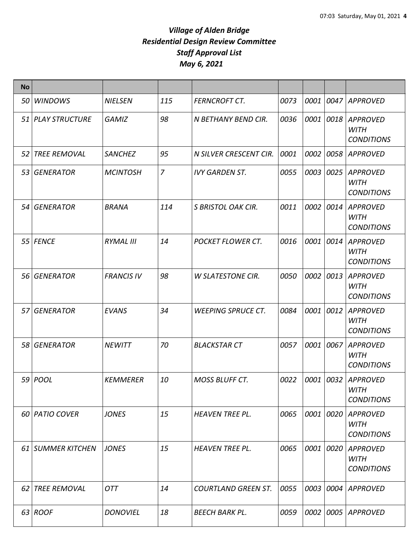| <b>No</b> |                     |                   |                |                            |      |           |           |                                                     |
|-----------|---------------------|-------------------|----------------|----------------------------|------|-----------|-----------|-----------------------------------------------------|
| 50 I      | <b>WINDOWS</b>      | <b>NIELSEN</b>    | 115            | <b>FERNCROFT CT.</b>       | 0073 | 0001      | 0047      | <b>APPROVED</b>                                     |
|           | 51 PLAY STRUCTURE   | <b>GAMIZ</b>      | 98             | N BETHANY BEND CIR.        | 0036 | 0001 0018 |           | <b>APPROVED</b><br><b>WITH</b><br><b>CONDITIONS</b> |
| 52        | <b>TREE REMOVAL</b> | <b>SANCHEZ</b>    | 95             | N SILVER CRESCENT CIR.     | 0001 | 0002      | 0058      | <b>APPROVED</b>                                     |
|           | 53 GENERATOR        | <b>MCINTOSH</b>   | $\overline{7}$ | <b>IVY GARDEN ST.</b>      | 0055 | 0003 0025 |           | <b>APPROVED</b><br><b>WITH</b><br><b>CONDITIONS</b> |
|           | 54 GENERATOR        | <b>BRANA</b>      | 114            | <b>S BRISTOL OAK CIR.</b>  | 0011 | 0002      | 0014      | <b>APPROVED</b><br><b>WITH</b><br><b>CONDITIONS</b> |
|           | 55 FENCE            | <b>RYMAL III</b>  | 14             | <b>POCKET FLOWER CT.</b>   | 0016 | 0001      | 0014      | <b>APPROVED</b><br><b>WITH</b><br><b>CONDITIONS</b> |
|           | 56 GENERATOR        | <b>FRANCIS IV</b> | 98             | <b>W SLATESTONE CIR.</b>   | 0050 | 0002      | 0013      | <b>APPROVED</b><br><b>WITH</b><br><b>CONDITIONS</b> |
|           | 57 GENERATOR        | <b>EVANS</b>      | 34             | <b>WEEPING SPRUCE CT.</b>  | 0084 | 0001 0012 |           | <b>APPROVED</b><br>WITH<br><b>CONDITIONS</b>        |
|           | 58 GENERATOR        | <b>NEWITT</b>     | 70             | <b>BLACKSTAR CT</b>        | 0057 | 0001 0067 |           | <b>APPROVED</b><br><b>WITH</b><br><b>CONDITIONS</b> |
|           | 59 <i>POOL</i>      | <b>KEMMERER</b>   | 10             | <b>MOSS BLUFF CT.</b>      | 0022 | 0001 0032 |           | <b>APPROVED</b><br><b>WITH</b><br><b>CONDITIONS</b> |
|           | 60 PATIO COVER      | <b>JONES</b>      | 15             | <b>HEAVEN TREE PL.</b>     | 0065 | 0001 0020 |           | <b>APPROVED</b><br><b>WITH</b><br><b>CONDITIONS</b> |
|           | 61 SUMMER KITCHEN   | <b>JONES</b>      | 15             | <b>HEAVEN TREE PL.</b>     | 0065 | 0001 0020 |           | <b>APPROVED</b><br><b>WITH</b><br><b>CONDITIONS</b> |
| 62 I      | <b>TREE REMOVAL</b> | <b>OTT</b>        | 14             | <b>COURTLAND GREEN ST.</b> | 0055 |           | 0003 0004 | <b>APPROVED</b>                                     |
|           | $63$ ROOF           | <b>DONOVIEL</b>   | 18             | <b>BEECH BARK PL.</b>      | 0059 | 0002 0005 |           | <b>APPROVED</b>                                     |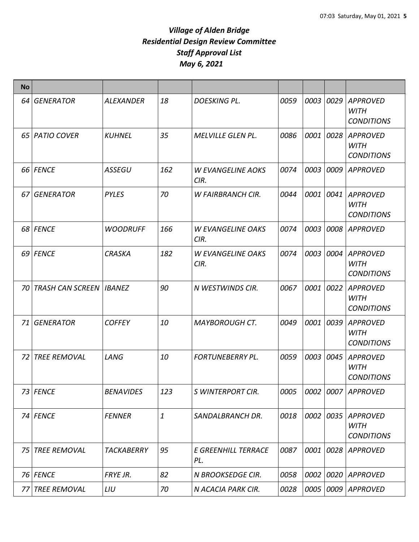| <b>No</b>  |                                  |                   |              |                                  |      |      |      |                                                     |
|------------|----------------------------------|-------------------|--------------|----------------------------------|------|------|------|-----------------------------------------------------|
| 64 I       | <b>GENERATOR</b>                 | <b>ALEXANDER</b>  | 18           | <b>DOESKING PL.</b>              | 0059 | 0003 | 0029 | <b>APPROVED</b><br><b>WITH</b><br><b>CONDITIONS</b> |
|            | 65   PATIO COVER                 | <b>KUHNEL</b>     | 35           | <b>MELVILLE GLEN PL.</b>         | 0086 | 0001 | 0028 | <b>APPROVED</b><br><b>WITH</b><br><b>CONDITIONS</b> |
|            | 66 FENCE                         | <b>ASSEGU</b>     | 162          | <b>W EVANGELINE AOKS</b><br>CIR. | 0074 | 0003 | 0009 | <b>APPROVED</b>                                     |
| 67         | <b>GENERATOR</b>                 | <b>PYLES</b>      | 70           | <b>W FAIRBRANCH CIR.</b>         | 0044 | 0001 | 0041 | <b>APPROVED</b><br><b>WITH</b><br><b>CONDITIONS</b> |
|            | 68 FENCE                         | <b>WOODRUFF</b>   | 166          | <b>W EVANGELINE OAKS</b><br>CIR. | 0074 | 0003 | 0008 | <b>APPROVED</b>                                     |
|            | 69 FENCE                         | <b>CRASKA</b>     | 182          | <b>W EVANGELINE OAKS</b><br>CIR. | 0074 | 0003 | 0004 | <b>APPROVED</b><br><b>WITH</b><br><b>CONDITIONS</b> |
| 70 I       | <b>TRASH CAN SCREEN   IBANEZ</b> |                   | 90           | N WESTWINDS CIR.                 | 0067 | 0001 | 0022 | <b>APPROVED</b><br><b>WITH</b><br><b>CONDITIONS</b> |
| 71         | <b>GENERATOR</b>                 | <b>COFFEY</b>     | 10           | <b>MAYBOROUGH CT.</b>            | 0049 | 0001 | 0039 | <b>APPROVED</b><br><b>WITH</b><br><b>CONDITIONS</b> |
| <b>721</b> | <b>TREE REMOVAL</b>              | LANG              | 10           | <b>FORTUNEBERRY PL.</b>          | 0059 | 0003 | 0045 | <b>APPROVED</b><br><b>WITH</b><br><b>CONDITIONS</b> |
|            | 73 FENCE                         | <b>BENAVIDES</b>  | 123          | <b>S WINTERPORT CIR.</b>         | 0005 |      |      | 0002 0007 APPROVED                                  |
|            | 74 FENCE                         | <b>FENNER</b>     | $\mathbf{1}$ | SANDALBRANCH DR.                 | 0018 | 0002 | 0035 | <b>APPROVED</b><br><b>WITH</b><br><b>CONDITIONS</b> |
| 75         | <b>TREE REMOVAL</b>              | <b>TACKABERRY</b> | 95           | E GREENHILL TERRACE<br>PL.       | 0087 | 0001 | 0028 | <b>APPROVED</b>                                     |
|            | 76 FENCE                         | FRYE JR.          | 82           | N BROOKSEDGE CIR.                | 0058 | 0002 | 0020 | <b>APPROVED</b>                                     |
| 77         | <b>TREE REMOVAL</b>              | LIU               | 70           | N ACACIA PARK CIR.               | 0028 | 0005 | 0009 | APPROVED                                            |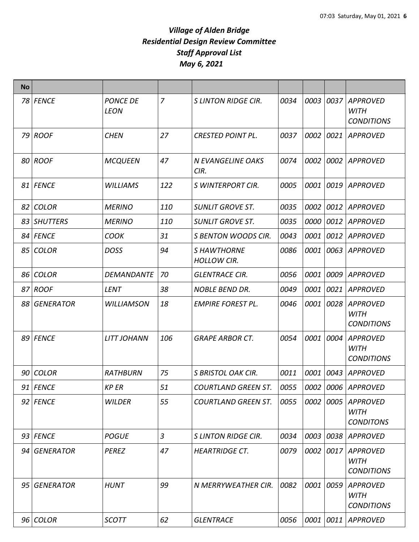| <b>No</b> |              |                                |                |                                         |      |      |      |                                                     |
|-----------|--------------|--------------------------------|----------------|-----------------------------------------|------|------|------|-----------------------------------------------------|
|           | 78 FENCE     | <b>PONCE DE</b><br><b>LEON</b> | $\overline{7}$ | <b>SLINTON RIDGE CIR.</b>               | 0034 | 0003 | 0037 | <b>APPROVED</b><br><b>WITH</b><br><b>CONDITIONS</b> |
|           | 79 ROOF      | <b>CHEN</b>                    | 27             | <b>CRESTED POINT PL.</b>                | 0037 | 0002 | 0021 | <b>APPROVED</b>                                     |
|           | 80 ROOF      | <b>MCQUEEN</b>                 | 47             | <b>N EVANGELINE OAKS</b><br>CIR.        | 0074 | 0002 | 0002 | <b>APPROVED</b>                                     |
|           | 81 FENCE     | <b>WILLIAMS</b>                | 122            | <b>S WINTERPORT CIR.</b>                | 0005 | 0001 | 0019 | <b>APPROVED</b>                                     |
|           | 82 COLOR     | <b>MERINO</b>                  | 110            | <b>SUNLIT GROVE ST.</b>                 | 0035 | 0002 | 0012 | APPROVED                                            |
|           | 83 SHUTTERS  | <b>MERINO</b>                  | 110            | <b>SUNLIT GROVE ST.</b>                 | 0035 | 0000 | 0012 | <b>APPROVED</b>                                     |
|           | 84 FENCE     | <b>COOK</b>                    | 31             | <b>S BENTON WOODS CIR.</b>              | 0043 | 0001 | 0012 | <b>APPROVED</b>                                     |
|           | 85 COLOR     | <b>DOSS</b>                    | 94             | <b>SHAWTHORNE</b><br><b>HOLLOW CIR.</b> | 0086 | 0001 | 0063 | <b>APPROVED</b>                                     |
|           | 86 COLOR     | <b>DEMANDANTE</b>              | 70             | <b>GLENTRACE CIR.</b>                   | 0056 | 0001 | 0009 | <b>APPROVED</b>                                     |
|           | 87 ROOF      | LENT                           | 38             | <b>NOBLE BEND DR.</b>                   | 0049 | 0001 | 0021 | <b>APPROVED</b>                                     |
|           | 88 GENERATOR | <b>WILLIAMSON</b>              | 18             | <b>EMPIRE FOREST PL.</b>                | 0046 | 0001 | 0028 | <b>APPROVED</b><br><b>WITH</b><br><b>CONDITIONS</b> |
|           | 89 FENCE     | <b>LITT JOHANN</b>             | 106            | <b>GRAPE ARBOR CT.</b>                  | 0054 | 0001 | 0004 | <b>APPROVED</b><br><b>WITH</b><br><b>CONDITIONS</b> |
|           | 90 COLOR     | <b>RATHBURN</b>                | 75             | <b>S BRISTOL OAK CIR.</b>               | 0011 | 0001 | 0043 | <b>APPROVED</b>                                     |
|           | $91$ FENCE   | <b>KP ER</b>                   | 51             | <b>COURTLAND GREEN ST.</b>              | 0055 |      |      | 0002 0006 APPROVED                                  |
|           | 92 FENCE     | <b>WILDER</b>                  | 55             | <b>COURTLAND GREEN ST.</b>              | 0055 | 0002 | 0005 | <b>APPROVED</b><br><b>WITH</b><br><b>CONDITONS</b>  |
|           | 93 FENCE     | <b>POGUE</b>                   | $\mathfrak{Z}$ | <b>SLINTON RIDGE CIR.</b>               | 0034 | 0003 | 0038 | <b>APPROVED</b>                                     |
|           | 94 GENERATOR | <b>PEREZ</b>                   | 47             | <b>HEARTRIDGE CT.</b>                   | 0079 | 0002 | 0017 | <b>APPROVED</b><br><b>WITH</b><br><b>CONDITIONS</b> |
|           | 95 GENERATOR | <b>HUNT</b>                    | 99             | N MERRYWEATHER CIR.                     | 0082 | 0001 | 0059 | <b>APPROVED</b><br><b>WITH</b><br><b>CONDITIONS</b> |
|           | $96$ COLOR   | <b>SCOTT</b>                   | 62             | <b>GLENTRACE</b>                        | 0056 | 0001 | 0011 | <b>APPROVED</b>                                     |